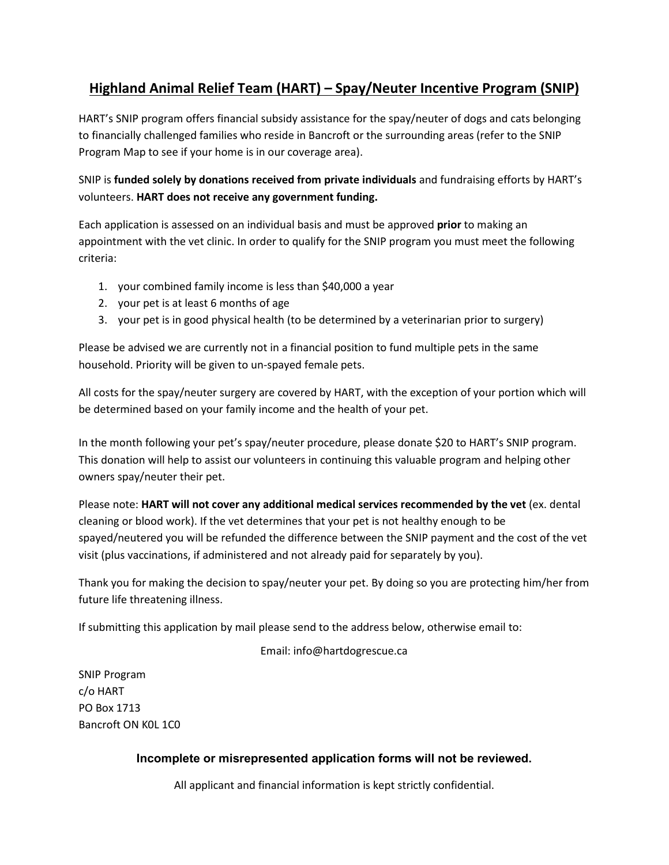# **Highland Animal Relief Team (HART) – Spay/Neuter Incentive Program (SNIP)**

HART's SNIP program offers financial subsidy assistance for the spay/neuter of dogs and cats belonging to financially challenged families who reside in Bancroft or the surrounding areas (refer to the SNIP Program Map to see if your home is in our coverage area).

SNIP is **funded solely by donations received from private individuals** and fundraising efforts by HART's volunteers. **HART does not receive any government funding.**

Each application is assessed on an individual basis and must be approved **prior** to making an appointment with the vet clinic. In order to qualify for the SNIP program you must meet the following criteria:

- 1. your combined family income is less than \$40,000 a year
- 2. your pet is at least 6 months of age
- 3. your pet is in good physical health (to be determined by a veterinarian prior to surgery)

Please be advised we are currently not in a financial position to fund multiple pets in the same household. Priority will be given to un-spayed female pets.

All costs for the spay/neuter surgery are covered by HART, with the exception of your portion which will be determined based on your family income and the health of your pet.

In the month following your pet's spay/neuter procedure, please donate \$20 to HART's SNIP program. This donation will help to assist our volunteers in continuing this valuable program and helping other owners spay/neuter their pet.

Please note: **HART will not cover any additional medical services recommended by the vet** (ex. dental cleaning or blood work). If the vet determines that your pet is not healthy enough to be spayed/neutered you will be refunded the difference between the SNIP payment and the cost of the vet visit (plus vaccinations, if administered and not already paid for separately by you).

Thank you for making the decision to spay/neuter your pet. By doing so you are protecting him/her from future life threatening illness.

If submitting this application by mail please send to the address below, otherwise email to:

Email: info@hartdogrescue.ca

SNIP Program c/o HART PO Box 1713 Bancroft ON K0L 1C0

### **Incomplete or misrepresented application forms will not be reviewed.**

All applicant and financial information is kept strictly confidential.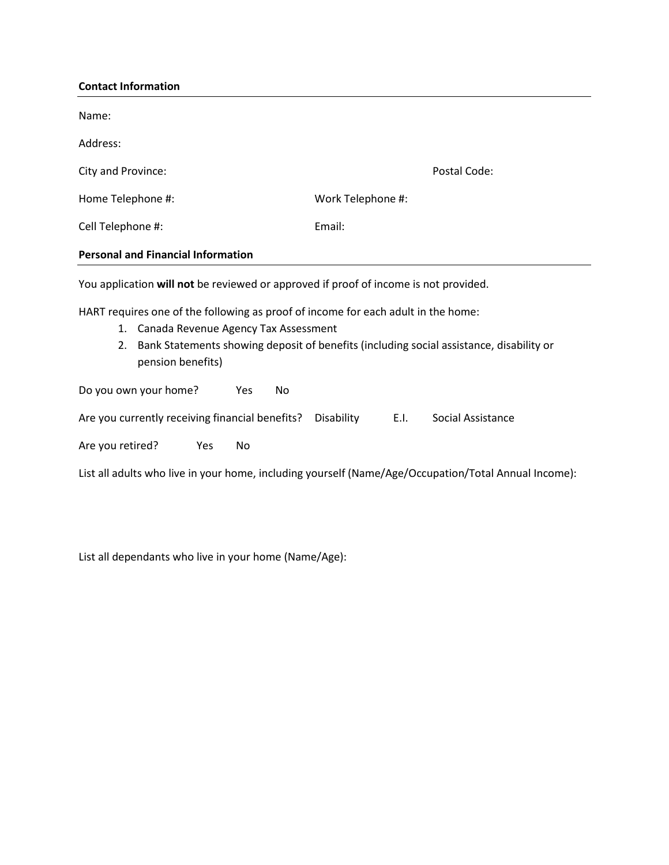## **Contact Information**

| Name:                                                                                                                                                                                                                                                 |                                         |  |  |  |  |  |
|-------------------------------------------------------------------------------------------------------------------------------------------------------------------------------------------------------------------------------------------------------|-----------------------------------------|--|--|--|--|--|
| Address:                                                                                                                                                                                                                                              |                                         |  |  |  |  |  |
| City and Province:                                                                                                                                                                                                                                    | Postal Code:                            |  |  |  |  |  |
| Home Telephone #:                                                                                                                                                                                                                                     | Work Telephone #:                       |  |  |  |  |  |
| Cell Telephone #:                                                                                                                                                                                                                                     | Email:                                  |  |  |  |  |  |
| <b>Personal and Financial Information</b>                                                                                                                                                                                                             |                                         |  |  |  |  |  |
| You application will not be reviewed or approved if proof of income is not provided.                                                                                                                                                                  |                                         |  |  |  |  |  |
| HART requires one of the following as proof of income for each adult in the home:<br>Canada Revenue Agency Tax Assessment<br>1.<br>Bank Statements showing deposit of benefits (including social assistance, disability or<br>2.<br>pension benefits) |                                         |  |  |  |  |  |
| Do you own your home?<br>No<br>Yes                                                                                                                                                                                                                    |                                         |  |  |  |  |  |
| Are you currently receiving financial benefits?                                                                                                                                                                                                       | E.I.<br>Social Assistance<br>Disability |  |  |  |  |  |
| Are you retired?<br>Yes<br>No                                                                                                                                                                                                                         |                                         |  |  |  |  |  |
| List all adults who live in your home, including yourself (Name/Age/Occupation/Total Annual Income):                                                                                                                                                  |                                         |  |  |  |  |  |

List all dependants who live in your home (Name/Age):